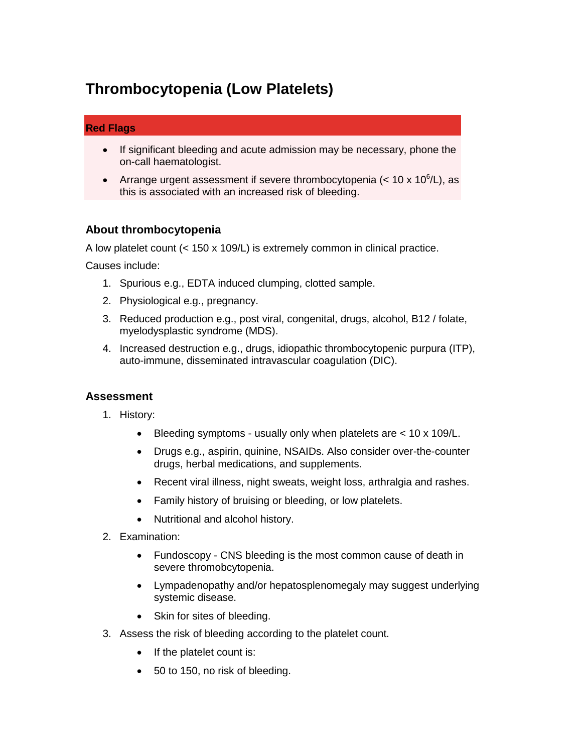# **Thrombocytopenia (Low Platelets)**

## **Red Flags**

- If significant bleeding and acute admission may be necessary, phone the on-call haematologist.
- Arrange urgent assessment if severe thrombocytopenia  $(< 10 \times 10^6/L)$ , as this is associated with an increased risk of bleeding.

## **About thrombocytopenia**

A low platelet count (< 150 x 109/L) is extremely common in clinical practice.

Causes include:

- 1. Spurious e.g., EDTA induced clumping, clotted sample.
- 2. Physiological e.g., pregnancy.
- 3. Reduced production e.g., post viral, congenital, drugs, alcohol, B12 / folate, myelodysplastic syndrome (MDS).
- 4. Increased destruction e.g., drugs, idiopathic thrombocytopenic purpura (ITP), auto-immune, disseminated intravascular coagulation (DIC).

#### **Assessment**

- 1. History:
	- Bleeding symptoms usually only when platelets are < 10 x 109/L.
	- Drugs e.g., aspirin, quinine, NSAIDs. Also consider over-the-counter drugs, herbal medications, and supplements.
	- Recent viral illness, night sweats, weight loss, arthralgia and rashes.
	- Family history of bruising or bleeding, or low platelets.
	- Nutritional and alcohol history.
- 2. Examination:
	- Fundoscopy CNS bleeding is the most common cause of death in severe thromobcytopenia.
	- Lympadenopathy and/or hepatosplenomegaly may suggest underlying systemic disease.
	- Skin for sites of bleeding.
- 3. Assess the risk of bleeding according to the platelet count.
	- $\bullet$  If the platelet count is:
	- 50 to 150, no risk of bleeding.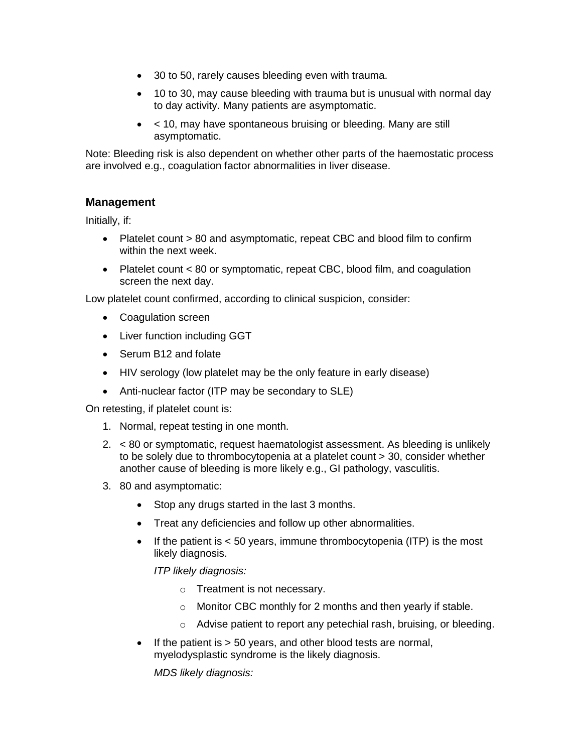- 30 to 50, rarely causes bleeding even with trauma.
- 10 to 30, may cause bleeding with trauma but is unusual with normal day to day activity. Many patients are asymptomatic.
- < 10, may have spontaneous bruising or bleeding. Many are still asymptomatic.

Note: Bleeding risk is also dependent on whether other parts of the haemostatic process are involved e.g., coagulation factor abnormalities in liver disease.

#### **Management**

Initially, if:

- Platelet count > 80 and asymptomatic, repeat CBC and blood film to confirm within the next week.
- Platelet count  $< 80$  or symptomatic, repeat CBC, blood film, and coagulation screen the next day.

Low platelet count confirmed, according to clinical suspicion, consider:

- Coagulation screen
- Liver function including GGT
- Serum B12 and folate
- HIV serology (low platelet may be the only feature in early disease)
- Anti-nuclear factor (ITP may be secondary to SLE)

On retesting, if platelet count is:

- 1. Normal, repeat testing in one month.
- 2. < 80 or symptomatic, request haematologist assessment. As bleeding is unlikely to be solely due to thrombocytopenia at a platelet count > 30, consider whether another cause of bleeding is more likely e.g., GI pathology, vasculitis.
- 3. 80 and asymptomatic:
	- Stop any drugs started in the last 3 months.
	- Treat any deficiencies and follow up other abnormalities.
	- If the patient is  $< 50$  years, immune thrombocytopenia (ITP) is the most likely diagnosis.

*ITP likely diagnosis:*

- o Treatment is not necessary.
- o Monitor CBC monthly for 2 months and then yearly if stable.
- o Advise patient to report any petechial rash, bruising, or bleeding.
- If the patient is  $> 50$  years, and other blood tests are normal, myelodysplastic syndrome is the likely diagnosis.

*MDS likely diagnosis:*